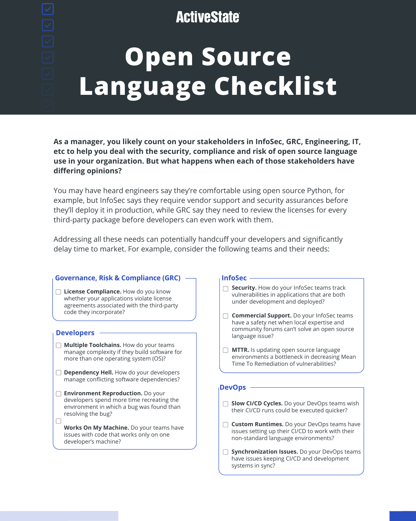### **ActiveState**

# **Open Source Language Checklist**

- **Slow CI/CD Cycles.** Do your DevOps teams wish their CI/CD runs could be executed quicker?
- **Custom Runtimes.** Do your DevOps teams have issues setting up their CI/CD to work with their non-standard language environments?
- **Synchronization Issues.** Do your DevOps teams  $\Box$ have issues keeping CI/CD and development systems in sync?

#### **Governance, Risk & Compliance (GRC) License Compliance.** How do you know whether your applications violate license agreements associated with the third-party code they incorporate? **InfoSec Security.** How do your InfoSec teams track vulnerabilities in applications that are both under development and deployed? **Commercial Support.** Do your InfoSec teams have a safety net when local expertise and community forums can't solve an open source language issue? **Developers Multiple Toolchains.** How do your teams manage complexity if they build software for

#### **DevOps**

**Environment Reproduction.** Do your developers spend more time recreating the environment in which a bug was found than resolving the bug?

 $\Box$ 

- **MTTR.** Is updating open source language environments a bottleneck in decreasing Mean Time To Remediation of vulnerabilities?
- **Dependency Hell.** How do your developers manage conflicting software dependencies?

more than one operating system (OS)?

**Works On My Machine.** Do your teams have issues with code that works only on one developer's machine?

**As a manager, you likely count on your stakeholders in InfoSec, GRC, Engineering, IT, etc to help you deal with the security, compliance and risk of open source language use in your organization. But what happens when each of those stakeholders have differing opinions?** 

You may have heard engineers say they're comfortable using open source Python, for example, but InfoSec says they require vendor support and security assurances before they'll deploy it in production, while GRC say they need to review the licenses for every third-party package before developers can even work with them.

Addressing all these needs can potentially handcuff your developers and significantly delay time to market. For example, consider the following teams and their needs: